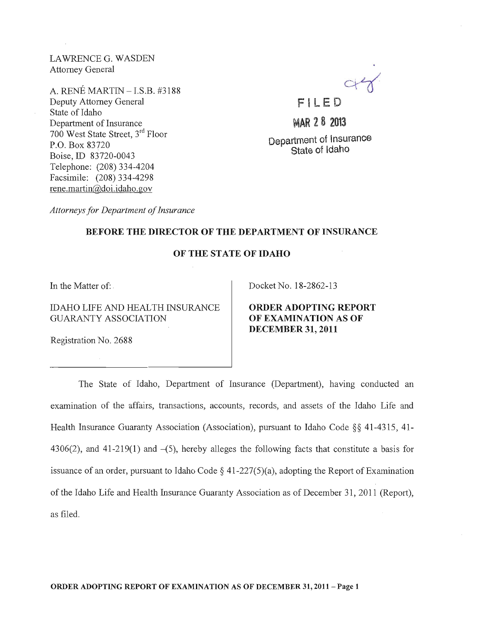LA WRENCE G. WASDEN Attorney General

A. RENE MARTIN - I.S.B. #3188 Deputy Attorney General State of Idaho Department of Insurance 700 West State Street, 3rd Floor P.O. Box 83720 Boise,ID 83720-0043 Telephone: (208) 334-4204 Facsimile: (208) 334-4298 rene.martin@doi.idaho.gov

F I LE D

MAR 28 2013

Department of Insurance State of Idaho

*Attorneys for Department of Insurance* 

#### BEFORE THE DIRECTOR OF THE DEPARTMENT OF INSURANCE

#### OF THE STATE OF IDAHO

In the Matter of: .

IDAHO LIFE AND HEALTH INSURANCE GUARANTY ASSOCIATION

Docket No. 18-2862-13

ORDER ADOPTING REPORT OF EXAMINATION AS OF DECEMBER 31, 2011

Registration No. 2688

The State of Idaho, Department of Insurance (Department), having conducted an examination of the affairs, transactions, accounts, records, and assets of the Idaho Life and Health Insurance Guaranty Association (Association), pursuant to Idaho Code §§ 41-4315, 41- 4306(2), and 41-219(1) and  $-(5)$ , hereby alleges the following facts that constitute a basis for issuance of an order, pursuant to Idaho Code  $\S$  41-227(5)(a), adopting the Report of Examination of the Idaho Life and Health Insurance Guaranty Association as of December 31, 2011 (Report), as filed.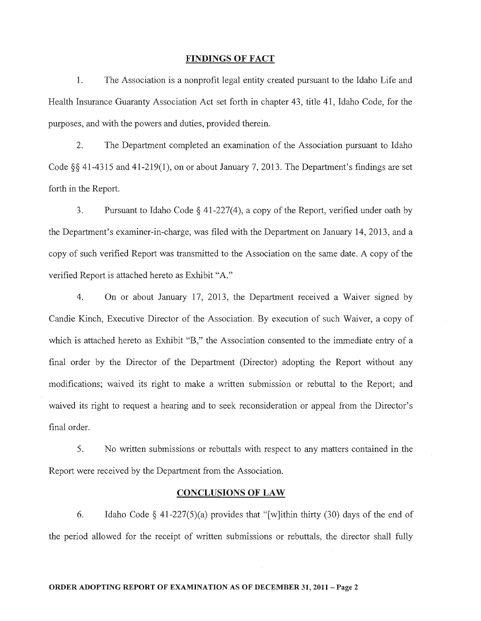#### FINDINGS OF FACT

1. The Association is a nonprofit legal entity created pursuant to the Idaho Life and Health Insurance Guaranty Association Act set forth in chapter 43, title 41 , Idaho Code, for the purposes, and with the powers and duties, provided therein.

2. The Department completed an examination of the Association pursuant to Idaho Code §§ 41-4315 and 41-219(1), on or about January 7, 2013. The Department's findings are set forth in the Report.

3. Pursuant to Idaho Code  $\S$  41-227(4), a copy of the Report, verified under oath by the Department's examiner-in-charge, was filed with the Department on January 14, 2013, and a copy of such verified Report was transmitted to the Association on the same date. A copy of the verified Report is attached hereto as Exhibit "A."

4. On or about January 17, 2013, the Department received a Waiver signed by Candie Kinch, Executive Director of the Association. By execution of such Waiver, a copy of which is attached hereto as Exhibit "B," the Association consented to the immediate entry of a final order by the Director of the Department (Director) adopting the Report without any modifications; waived its right to make a written submission or rebuttal to the Report; and waived its right to request a hearing and to seek reconsideration or appeal from the Director's final order.

5. No written submissions or rebuttals with respect to any matters contained in the Report were received by the Department from the Association.

#### CONCLUSIONS OF LAW

6. Idaho Code  $\S$  41-227(5)(a) provides that "[w]ithin thirty (30) days of the end of the period allowed for the receipt of written submissions or rebuttals, the director shall fully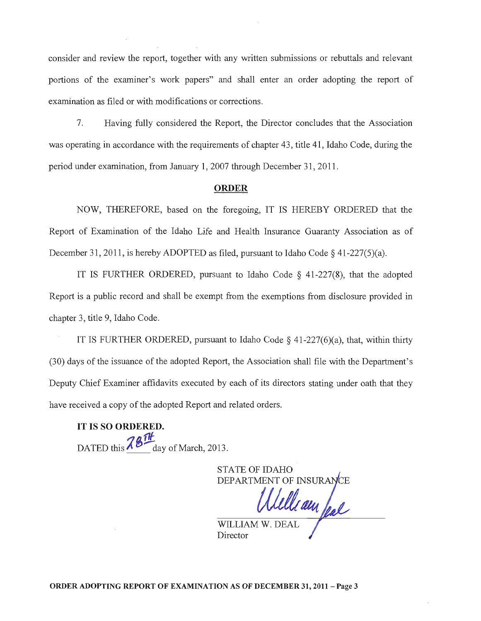consider and review the report, together with any written submissions or rebuttals and relevant portions of the examiner's work papers" and shall enter an order adopting the report of examination as filed or with modifications or corrections.

7. Having fully considered the Report, the Director concludes that the Association was operating in accordance with the requirements of chapter 43, title 41, Idaho Code, during the period under examination, from January 1, 2007 through December 31, 2011.

#### ORDER

NOW, THEREFORE, based on the foregoing, IT IS HEREBY ORDERED that the Report of Examination of the Idaho Life and Health Insurance Guaranty Association as of December 31, 2011, is hereby ADOPTED as filed, pursuant to Idaho Code § 41-227(5)(a).

IT IS FURTHER ORDERED, pursuant to Idaho Code  $\S$  41-227(8), that the adopted Report is a public record and shall be exempt from the exemptions from disclosure provided in chapter 3, title 9, Idaho Code.

IT IS FURTHER ORDERED, pursuant to Idaho Code  $\S$  41-227(6)(a), that, within thirty (30) days of the issuance of the adopted Report, the Association shall file with the Department's Deputy Chief Examiner affidavits executed by each of its directors stating under oath that they have received a copy of the adopted Report and related orders.

**IT** IS SO ORDERED. DATED this  $78$ <sup>TH</sup> day of March, 2013.

**STATE OF IDAHO** DEPARTMENT OF INSURAL

WILLIAM W. DEAL

Director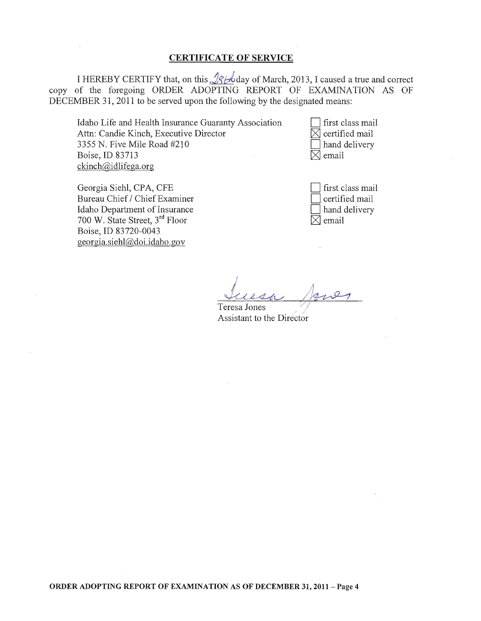### CERTIFICATE OF SERVICE

I HEREBY CERTIFY that, on this  $\sqrt{\mathcal{B}}$  be day of March, 2013, I caused a true and correct copy of the foregoing ORDER ADOPTING REPORT OF EXAMINATION AS OF DECEMBER 31, 2011 to be served upon the following by the designated means:

Idaho Life and Health Insurance Guaranty Association Attn: Candie Kinch, Executive Director 3355 N. Five Mile Road #210 Boise, ID 83713 ckinch@idlifega.org

first class mail  $\boxtimes$  certified mail hand delivery  $\boxtimes$  email

Georgia Siehl, CPA, CFE Bureau Chief / Chief Examiner Idaho Department of Insurance 700 W. State Street, 3rd Floor Boise,ID 83720-0043 georgia.siehl@doi.idaho.gov

first class mail certified mail hand delivery  $\boxtimes$  email

Teresa Jones Assistant to the Director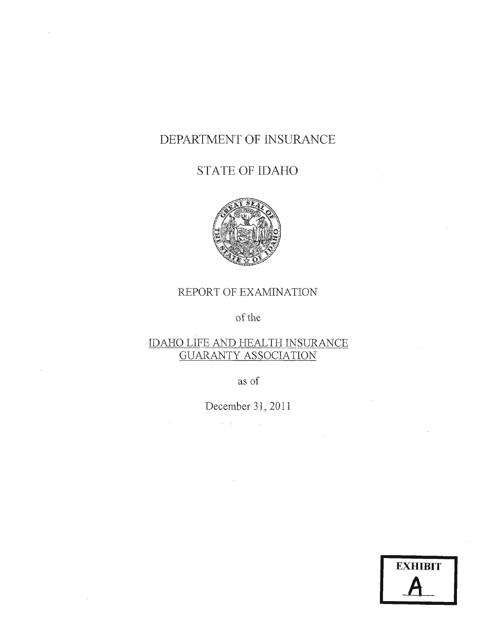# DEPARTMENT **OF** INSURANCE

# STATE OF **IDAHO**



## REPORT OF EXAMINATION

of the

## IDAHO LIFE AND HEALTH INSURANCE GUARANTY ASSOCIATION

as of

December 31,2011

 $\label{eq:2} \mathcal{L}^{\text{max}}(\mathbf{X}) = \mathcal{L}^{\text{max}}(\mathbf{X}) = \mathcal{L}^{\text{max}}(\mathbf{X})$ 

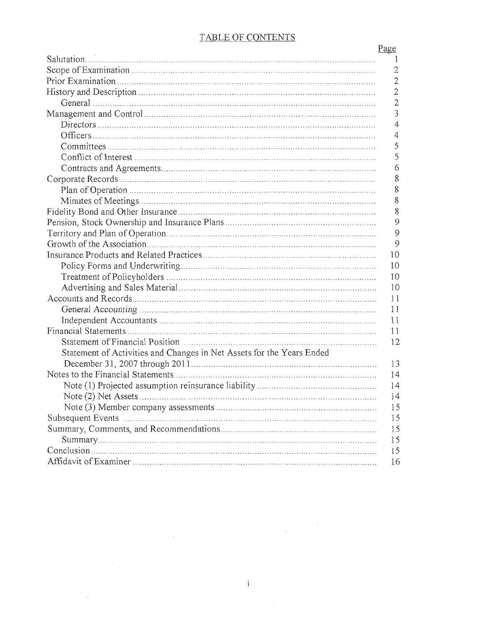### TABLE OF CONTENTS

|                                                                       | Page           |
|-----------------------------------------------------------------------|----------------|
|                                                                       | -1             |
|                                                                       | $\mathfrak{2}$ |
|                                                                       | $\overline{2}$ |
|                                                                       | $\overline{2}$ |
|                                                                       | $\overline{2}$ |
|                                                                       | 3              |
|                                                                       | $\overline{4}$ |
|                                                                       | 4              |
|                                                                       | 5              |
|                                                                       | 5              |
|                                                                       | $\delta$       |
|                                                                       | $\dot{8}$      |
|                                                                       | 8              |
|                                                                       | 8              |
|                                                                       | 8              |
|                                                                       | 9              |
|                                                                       | 9              |
|                                                                       | 9              |
|                                                                       | 10             |
|                                                                       | 10             |
|                                                                       | 10             |
|                                                                       | 10             |
|                                                                       | 11             |
|                                                                       | 11             |
|                                                                       | 11             |
|                                                                       | 11             |
|                                                                       | 12             |
| Statement of Activities and Changes in Net Assets for the Years Ended |                |
|                                                                       | 13             |
|                                                                       | 14             |
|                                                                       | 14             |
|                                                                       | 14             |
|                                                                       | 15             |
|                                                                       | 15             |
|                                                                       | 15             |
|                                                                       | 15             |
|                                                                       | 15             |
|                                                                       | 16             |

 $\mathcal{L}^{\text{max}}_{\text{max}}$ 

 $\sim 10^{-1}$ 

 $\sim$ 

 $\label{eq:2.1} \frac{1}{\sqrt{2}}\int_{\mathbb{R}^3}\frac{1}{\sqrt{2}}\left(\frac{1}{\sqrt{2}}\right)^2\frac{dx}{dx}dx.$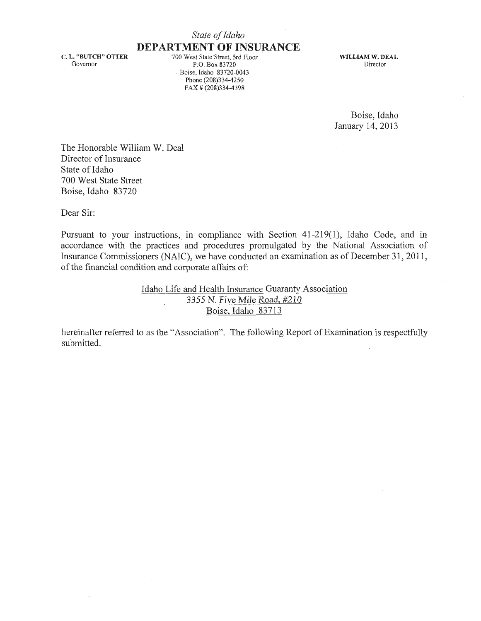#### *State of Idaho*

### **DEPARTMENT OF INSURANCE**

C. L. "BUTCH" OTTER Governor

700 West State Street, 3rd Floor p.O. Box 83720 . Boise, Idaho 83720-0043 Phone (208)334-4250 FAX # (208)334-4398

WILLIAM W. DEAL 'Director

Boise, Idaho January 14,2013

The Honorable William W. Deal Director of Insurance State of Idaho 700 West State Street Boise, Idaho 83720

Dear Sir:

Pursuant to your instructions, in compliance with Section 41-219(1), Idaho Code, and in accordance with the practices and procedures promulgated by the National Association of Insurance Commissioners (NAIC), we have conducted an examination as of December 31, 2011, of the financial condition and corporate affairs of:

> Idaho Life and Health Insurance Guaranty Association 3355 N. Five Mile Road, #210 Boise, Idaho 83713

hereinafter referred to as the "Association". The following Report of Examination is respectfully submitted.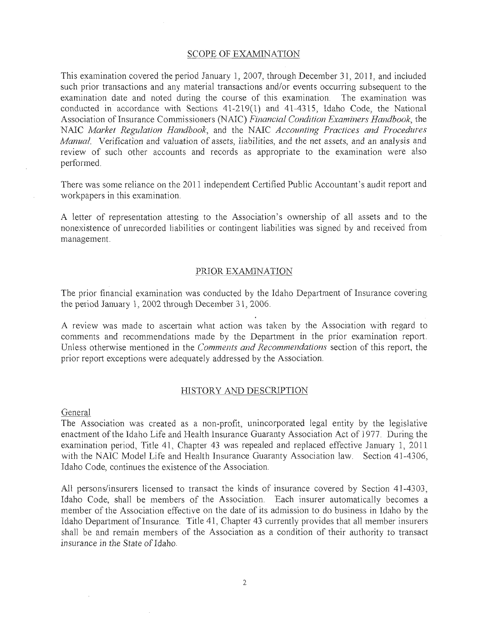#### SCOPE OF EXAMINATION

This examination covered the period January 1, 2007, through December 31, 2011, and included such prior transactions and any material transactions and/or events occurring subsequent to the examination date and noted during the course of this examination. The examination Was conducted in accordance with Sections 41-219( 1) and 41-4315, Idaho Code, the National Association of Insurance Commissioners (NAIC) *Financial Condition Examiners Handbook*, the NAIC *Market Regulation Handbook,* and the NAIC *Accounting Practices and Procedures Manual* Verification and *valuation* of assets, liabilities, and the net assets, and an *analysis* and review of such other accounts and records as appropriate to the examination were also performed.

There was some reliance on the 2011 independent Certified Public Accountant's audit report and workpapers in this examination.

A letter of representation attesting to the Association's ownership of all assets and to the nonexistence of unrecorded liabilities or contingent liabilities was signed by and received from management.

#### PRIOR EXAMINATION

The prior financial examination was conducted by the Idaho Department of Insurance covering the period January 1, 2002 through December 31,2006.

A review was made to ascertain what action was taken by the Association with regard to comments and recommendations made by the Department in the prior examination report. Unless otherwise mentioned in the *Comments and Recommendations* section of this report, the prior report exceptions were adequately addressed by the Association.

#### HISTORY AND DESCRIPTION

General

The Association was created as a non-profit, unincorporated legal entity by the legislative enactment of the Idaho Life and Health Insurance Guaranty Association Act of 1977. During the examination period, Title 41, Chapter 43 was repealed and replaced effective January 1, 2011 with the NAIC Model Life and Health Insurance Guaranty Association law. Section 41-4306, Idaho Code, continues the existence of the Association.

All persons/insurers licensed to transact the kinds of insurance covered by Section 41-4303, Idaho Code, shall be members of the Association. Each insurer automatically becomes a member of the Association effective on the date of its admission to do business in Idaho by the Idaho Department of Insurance. Title 41, Chapter 43 currently provides that all member insurers shall be and remain members of the Association as a condition of their authority to transact insurance in the State of Idaho.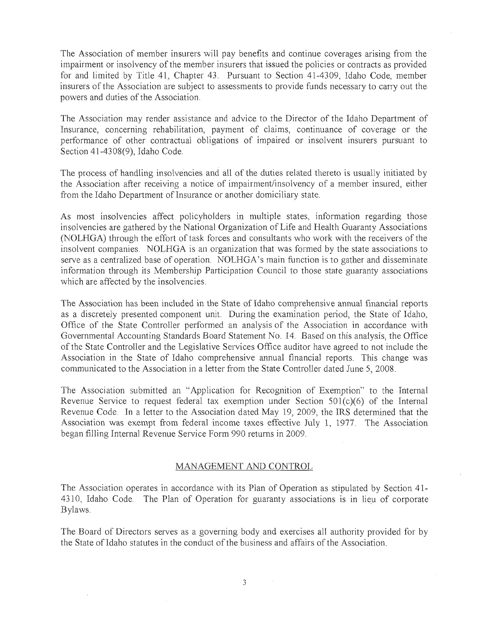The Association of member insurers will pay benefits and continue coverages arising from the impairment or insolvency of the member insurers that issued the policies or contracts as provided for and limited by Title 41, Chapter 43. Pursuant to Section 41-4309, Idaho Code, member insurers of the Association are subject to assessments to provide funds necessary to carry out the powers and duties of the Association.

The Association may render assistance and advice to the Director of the Idaho Department of Insurance, concerning rehabilitation, payment of claims, continuance of coverage or the performance of other contractual obligations of impaired or insolvent insurers pursuant to Section 41-4308(9), Idaho Code.

The process of handling insolvencies and all of the duties related thereto is usually initiated by the Association after receiving a notice of impairment/insolvency of a member insured, either from the Idaho Department of Insurance or another domiciliary state.

As most insolvencies affect policyholders in multiple states, information regarding those insolvencies are gathered by the National Organization of Life and Health Guaranty Associations (NOLHGA) through the effort of task forces and consultants who work with the receivers of the insolvent companies. NOLHGA is an organization that was formed by the state associations to serve as a centralized base of operation. NOLHGA's main function is to gather and disseminate information through its Membership Participation Council to those state guaranty associations which are affected by the insolvencies.

The Association has been included in the State of Idaho comprehensive annual financial reports as a discretely presented component unit. During the examination period, the State of Idaho, Office of the State Controller performed an analysis of the Association in accordance with Governmental Accounting Standards Board Statement No. 14. Based on this analysis, the Office of the State Controller and the Legislative Services Office auditor have agreed to not include the Association in the State of Idaho comprehensive annual financial reports. This change was communicated to the Association in a letter from the State Controller dated June 5, 2008.

The Association submitted an "Application for Recognition of Exemption" to the Internal Revenue Service to request federal tax exemption under Section 501(c)(6) of the Internal Revenue Code. In a letter to the Association dated May 19, 2009, the IRS determined that the Association was exempt from federal income taxes effective July 1, 1977. The Association began filling Internal Revenue Service Form 990 returns in 2009.

#### MANAGEMENT AND CONTROL

The Association operates in accordance with its Plan of Operation as stipulated by Section 41-4310, Idaho Code. The Plan of Operation for guaranty associations is in lieu of corporate Bylaws.

The Board of Directors serves as a governing body and exercises all authority provided for by the State of Idaho statutes in the conduct of the business and affairs of the Association.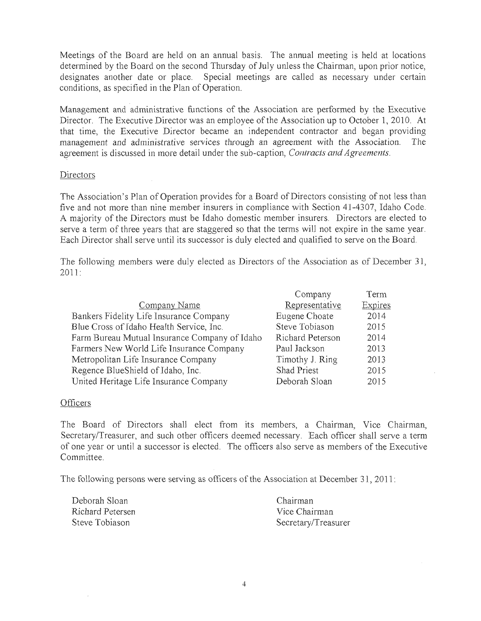Meetings of the Board are held on an annual basis. The annual meeting is held at locations determined by the Board on the second Thursday of July unless the Chairman, upon prior notice, designates another date or place. Special meetings are called as necessary under certain conditions, as specified in the Plan of Operation.

Management and administrative functions of the Association are performed by the Executive Director. The Executive Director was an employee of the Association up to October 1, 2010. At that time, the Executive Director became an independeht contractor and began providing management and administrative services through an agreement with the Association. The agreement is discussed in more detail under the sub~caption, *Contracts and Agreements.* 

#### Directors

The Association's Plan of Operation provides for a Board of Directors consisting of not less than five and not more than nine member insurers in compliance with Section 41-4307, Idaho Code. A majority of the Directors must be Idaho domestic member insurers. Directors are elected to serve a term of three years that are staggered so that the terms will not expire in the same year. Each Director shall serve until its successor is duly elected and qualified to serve on the Board.

The following members were duly elected as Directors of the Association as of December 31,  $2011:$ 

|                                               | Company          | Term    |
|-----------------------------------------------|------------------|---------|
| Company Name                                  | Representative   | Expires |
| Bankers Fidelity Life Insurance Company       | Eugene Choate    | 2014    |
| Blue Cross of Idaho Health Service, Inc.      | Steve Tobiason   | 2015    |
| Farm Bureau Mutual Insurance Company of Idaho | Richard Peterson | 2014    |
| Farmers New World Life Insurance Company      | Paul Jackson     | 2013    |
| Metropolitan Life Insurance Company           | Timothy J. Ring  | 2013    |
| Regence BlueShield of Idaho, Inc.             | Shad Priest      | 2015    |
| United Heritage Life Insurance Company        | Deborah Sloan    | 2015    |

#### **Officers**

The Board of Directors shall elect from its members, a Chairman, Vice Chairman, Secretary/Treasurer, and such other officers deemed necessary. Each officer shall serve a term of one year or until a successor is elected. The officers also serve as members of the Executive Committee.

The following persons were serving as officers of the Association at December 31, 2011:

| Deborah Sloan-   | - Chairman          |
|------------------|---------------------|
| Richard Petersen | Vice Chairman       |
| Steve Tobiason   | Secretary/Treasurer |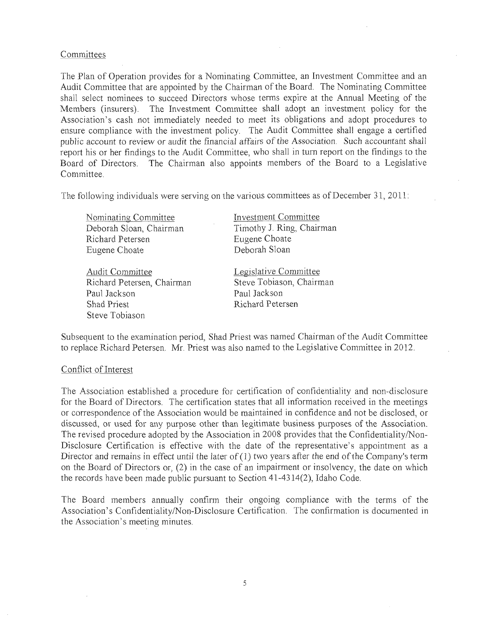#### Committees

The Plan of Operation provides for a Nominating Committee, an Investment Committee and an Audit Committee that are appointed by the Chairman of the Board. The Nominating Committee shall select nominees to succeed Directors whose terms expire at the Annual Meeting of the Members (insurers). The Investment Committee shall adopt an investment policy for the Association's cash not immediately needed to meet its obligations and adopt procedures to ensure compliance with the investment policy. The Audit Committee shall engage a certified public account to review or audit the financial affairs of the Association. Such accountant shall report his or her findings to the Audit Committee, who shall in turn report on the findings to the Board of Directors. The Chairman also appoints members of the Board to a Legislative Committee.

The following individuals were serving on the various committees as of December  $31$ ,  $2011$ :

Nominating Committee Deborah Sloan, Chairman Richard Petersen Eugene Choate

Audit Committee Richard Petersen, Chairman Paul Jackson Shad Priest Steve Tobiason

Investment Committee Timothy J. Ring, Chairman Eugene Choate Deborah Sloan

Legis]ative Committee Steve Tobiason, Chairman Paul Jackson Richard Petersen

Subsequent to the examination period, Shad Priest was named Chairman ofthe Audit Committee to replace Richard Petersen. Mr. Priest was also named to the Legislative Committee in 2012.

#### Conflict of Interest

The Association established a procedure for certification of confidentiality and non-disclosure for the Board of Directors. The certification states that all information received in the meetings or correspondence of the Association would be maintained in confidence and not be disclosed, or discussed, or used for any purpose other than legitimate business purposes of the Association. The revised procedure adopted by the Association in 2008 provides that the Confidentiality/Non-Disclosure Certification is effective with the date of the representative's appointment as a Director and remains in effect until the later of  $(1)$  two years after the end of the Company's term on the Board of Directors or, (2) in the case of an impairment or insolvency, the date on which the records have been made public pursuant to Section 41-4314(2), Idaho Code.

The Board members annually confirm their ongoing compliance with the terms of the Association's Confidentiality/Non-Disclosure Certification. The confirmation is documented in the Association's meeting minutes.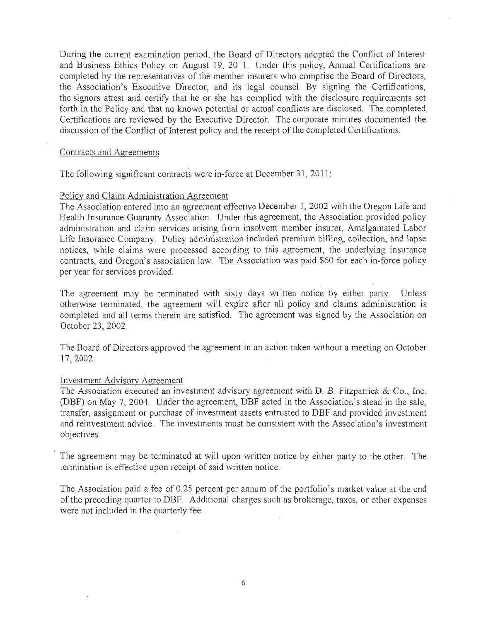During the current examination period, the Board of Directors adopted the Conflict of Interest and Business Ethics Policy on August 19, 2011. Under this policy, Annual Certifications are completed by the representatives of the member insurers who comprise the Board of Directors, the Association's Executive Director, and its legal counsel. By signing the Certifications, the signors attest and certify that he or she has complied with the disclosure requirements set forth in the Policy and that no known potential or actual conflicts are disclosed. The completed Certifications are reviewed by the Executive Directot. The corporate minutes documented the discussion of the Conflict of Interest policy and the receipt of the completed Certifications.

#### Contracts and Agreements

The following significant contracts were in-force at December 31, 2011:

#### Policy and Claim Administration Agreement

The Association entered into an agreement effective December 1, 2002 with the Oregon Life and Health Insurance Guaranty Association. Under this agreement, the Association provided policy administration and claim services arising from insolvent member insurer, Amalgamated Labor Life Insurance Company. Policy administration included premium billing, collection, and lapse notices, while claims were processed according to this agreement, the underlying insurance contracts, and Oregon's association Jaw. The Association was paid \$60 for each in-force policy per year for services provided.

The agreement may be terminated with sixty days written notice by either party. Unless otherwise terminated, the agreement will expire after all policy and claims administration is completed and all terms therein are satisfied. The agreement was signed by the Association on October 23, 2002.

The Board of Directors approved the agreement in an action taken without a meeting on October 17,2002.

#### Investment Advisorv Agreement

The Association executed an investment advisory agreement with D. B. Fitzpatrick  $\&$  Co., Inc. (DBF) on May 7, 2004. Under the agreement, DBF acted in the Association's stead in the sale, transfer, assignment or purchase of investment assets entrusted to DBF and provided investment and reinvestment advice. The investments must be consistent with the Association's investment objectives.

The agreement may be terminated at will upon written notice by either party to the other. The termination is effective upon receipt of said written notice.

The Association paid a fee of 0.25 percent per annum of the portfolio's market value at the end of the preceding quarter to DBF. Additional charges such as brokerage, taxes, or other expenses were not included in the quarterly fee.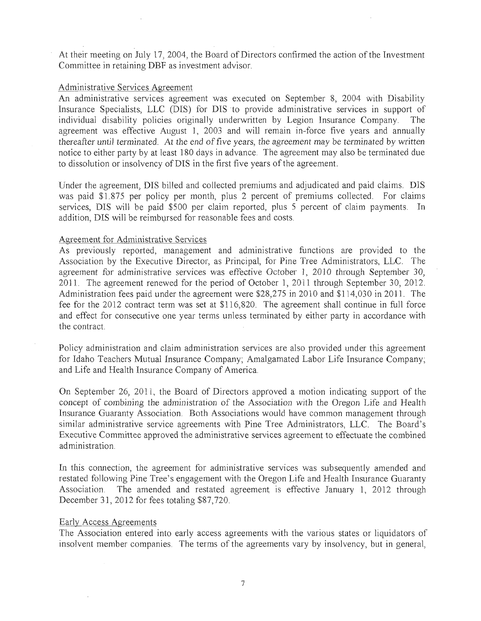At their meeting on July 17, 2004, the Board of Directors confirmed the action of the Investment Committee in retaining DBF as investment advisor.

#### Administrative Services Agreement

An administrative services agreement was executed on September 8, 2004 with Disability Insurance Specialists, LLC (DIS) for DIS to provide administrative services in support of individual disability policies originally underwritten by Legion Insurance Company. The agreement was effective August 1, 2003 and will remain in-force five years and annually thereafter *until* terminated. At *the end* of five years, the agreement may be terminated by written notice to either party by at least 180 days in advance. The agreement may also be terminated due to dissolution or insolvency of DIS in the first five years of the agreement.

Under the agreement, DIS billed and collected premiums and adjudicated and paiq claims. DIS was paid \$1.875 per policy per month, plus 2 percent of premiums collected. For claims services, DIS will be paid \$500 per claim reported, plus 5 percent of claim payments. In addition, DIS will be reimbursed for reasonable fees and costs.

#### Agreement for Administrative Services

As previously reported, management and administrative functions are provided to the Association by the Executive Director, as Principal, for Pine Tree Administrators, LLC. The agreement for administrative services was effective October 1, 2010 through September 30, 2011. The agreement renewed for the period of October 1, 2011 through September 30, 2012. Administration fees paid under the agreement were \$28,275 in 2010 and \$114,030 in 2011. The fee for the 2012 contract term was set at \$116,820. The agreement shall continue in full force and effect for consecutive one year terms unless terminated by either party in accordance with the contract.

Policy administration and claim administration services are also provided under this agreement for Idaho Teachers Mutual Insurance Company; Amalgamated Labor Life Insurance Company; and Life and Health Insurance Company of America.

On September 26, 2011, the Board of Directors approved a motion indicating support of the concept of combining the administration of the Association with the Oregon Life and Health Insurance Guaranty Association. Both Associations would have common management through similar administrative service agreements with Pine Tree Administrators, LLC. The Board's Executive Committee approved the administrative services agreement to effectuate the combined administration.

In this connection, the agreement for administrative services was subsequently amended and restated following Pine Tree's engagement with the Oregon Life and Health Insurance Guaranty Association. The amended and restated agreement is effective January 1, 2012 through December 31,2012 for fees totaling \$87,720.

#### Early Access Agreements

The Association entered into early access agreements with the various states or liquidators of insolvent member companies. The terms of the agreements vary by insolvency, but in general,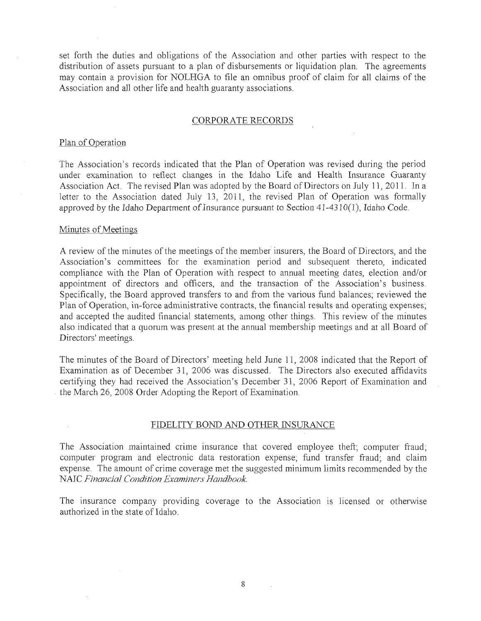set forth the duties and obligations of the Association and other parties with respect to the distribution of assets pursuant to a plan of disbursements or liquidation plan. The agreements may contain a provision for NOLHGA to file an omnibus proof of claim for all claims of the Association and all other life and health guaranty associations.

#### CORPORATE RECORDS

#### Plan of Operation

The Association's records indicated that the Plan of Operation was revised during the period under examination to reflect changes in the Idaho Life and Health Insurance Guaranty Association Act. The revised Plan was adopted by the Board of Directors on July 11, 2011. In a letter to the Association dated July 13, 2011, the revised Plan of Operation was formally approved by the Idaho Department of Insurance pursuant to Section  $41-4310(1)$ , Idaho Code.

#### Minutes of Meetings

A review of the minutes of the meetings of the member insurers, the Board of Directors, and the Association's committees for the examination period and subsequent thereto, indicated compliance with the Plan of Operation with respect to annual meeting dates, election and/or appointment of directors and officers, and the transaction of the Association's business. Specifically, the Board approved transfers to and from the various fund balances; reviewed the Plan of Operation, in-force administrative contracts, the financial results and operating expenses; and accepted the audited financial statements, among other things. This review of the minutes also indicated that a quorum was present at the annual membership meetings and at all Board of Directors' meetings.

The minutes of the Board of Directors' meeting held June 11, 2008 indicated that the Report of Examination as of December 31, 2006 was discussed. The Directors also executed affidavits certifying they had received the Association's December 31, 2006 Report of Examination and . the March 26, 2008 Order Adopting the Report of Examination.

#### FIDELITY BOND AND OTHER INSURANCE

The Association maintained crime insurance that covered employee theft; computer fraud; computer program and electronic data restoration expense; fund transfer fraud; and claim expense. The amount of crime coverage met the suggested minimum limits recommended by the NAIC *Financial Condition Examiners Handbook* 

The insurance company providing coverage to the Association is licensed or otherwise authorized in the state of Idaho.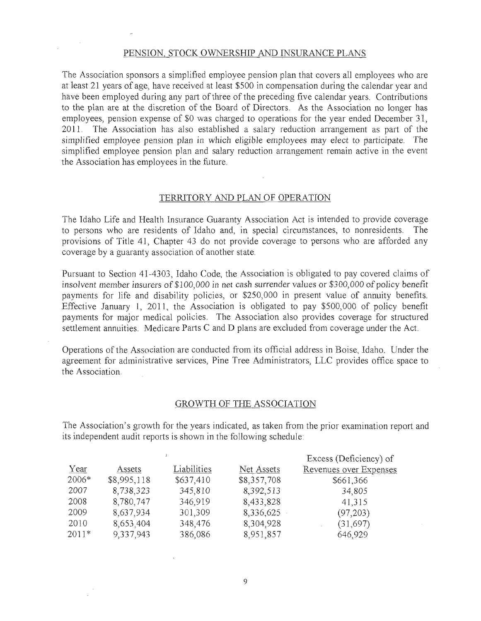#### PENSION, STOCK OWNERSHIP AND INSURANCE PLANS

The Association sponsors a simplified employee pension plan that covers all employees who are at least 21 years of age, have received at least \$500 in compensation during the calendar year and have been employed during any part of three of the preceding five calendar years. Contributions to the plan are at the discretion of the Board of Directors. As the Association no longer has employees, pension expense of \$0 was charged to operations for the year ended December 31, 2011. The Association has also established a salary reduction arrangement as part of the simplified employee pension plan in which eligible *employees* may *elect* to participate. The simplified employee pension plan and salary reduction arrangement remain active in the event the Association has employees in the future.

#### TERRITORY AND PLAN OF OPERATION

The Idaho Life and Health Insurance Guaranty Association Act is intended to provide coverage to persons who are residents of Idaho and, in special circumstances, to nonresidents. The provisions of Title 41, Chapter 43 do not provide coverage to persons who are afforded any coverage by a guaranty association of another state.

Pursuant to Section 41-4303, Idaho Code, the Association is obligated to pay covered claims of insolvent member insurers of \$ 100,000 in net cash surrender *values* or *\$300,000* of policy benefit payments for life and disability policies, or \$250,000 in present value of annuity benefits. Effective January 1, *2011,* the Association is obligated to pay \$500,000 of policy benefit payments for major medical policies. The Association also provides coverage for structured settlement annuities. Medicare Parts C and D plans are excluded from coverage under the Act.

Operations of the Association are conducted from its official address in Boise, Idaho. Under the agreement for administrative services, Pine Tree Administrators, LLC provides office space to the Association.

#### GROWTH OF THE ASSOCIATION

The Association's growth for the years indicated, as taken from the prior examination report and its independent audit reports is shown in the following schedule:

|         |             |             |             | Excess (Deficiency) of |
|---------|-------------|-------------|-------------|------------------------|
| Year    | Assets      | Liabilities | Net Assets  | Revenues over Expenses |
| 2006*   | \$8,995,118 | \$637,410   | \$8,357,708 | \$661,366              |
| 2007    | 8,738,323   | 345,810     | 8,392,513   | 34,805                 |
| 2008    | 8,780,747   | 346,919     | 8,433,828   | 41,315                 |
| 2009    | 8,637,934   | 301,309     | 8,336,625   | (97,203)               |
| 2010    | 8,653,404   | 348,476     | 8,304,928   | (31,697)               |
| $2011*$ | 9,337,943   | 386,086     | 8,951,857   | 646,929                |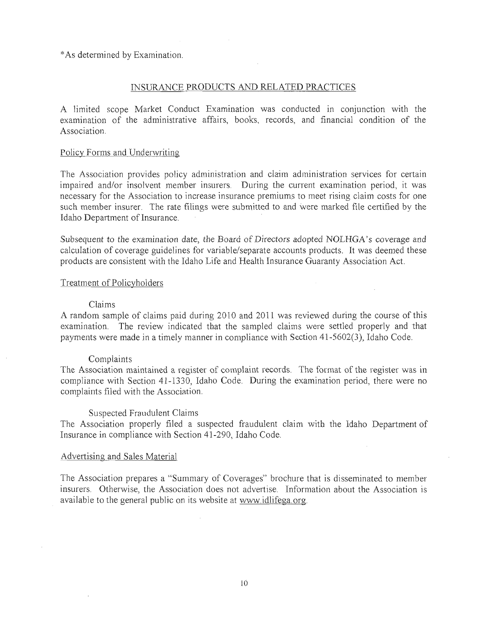\* As determined by Examination.

#### INSURANCE PRODUCTS AND RELATED PRACTICES

A limited scope Market Conduct Examination was conducted in conjunction with the examination of the administrative affairs, books, records, and financial condition of the Association.

#### Policy Forms and Underwriting

The Association provides policy administration and claim administration services for certain impaired and/or insolvent member insurers. During the current examination period, it was necessary for the Association to increase insurance premiums to meet rising claim costs for one such member insurer. The rate filings were submitted to and were marked file certified by the Idaho Department of Insurance.

Subsequent to the examination date, the Board of Directors adopted NOLHGA's coverage and calculation of coverage guidelines for variable/separate accounts products. It was deemed these products are consistent with the Idaho Life and Health Insurance Guaranty Association Act.

#### Treatment of Policyholders

#### Claims

A random sample of claims paid during 2010 and 2011 was reviewed during the course of this examination. The review indicated that the sampled claims were settled properly and that payments were made in a timely manner in compliance with Section 41-5602(3), Idaho Code.

#### Complaints

The Association maintained a register of complaint records. The format of the register was in compliance with Section 41-1330, Idaho Code. During the examination period, there were no complaints filed with the Association.

#### Suspected Fraudulent Claims

The Association properly filed a suspected fraudulent claim with the Idaho Department of Insurance in compliance with Section 41-290, Idaho Code.

#### Advertising and Sales Material

The Association prepares a "Summary of Coverages" brochure that is disseminated to member insurers. Otherwise, the Association does not advertise. Information about the Association is available to the general public on its website at www.idlifega.org.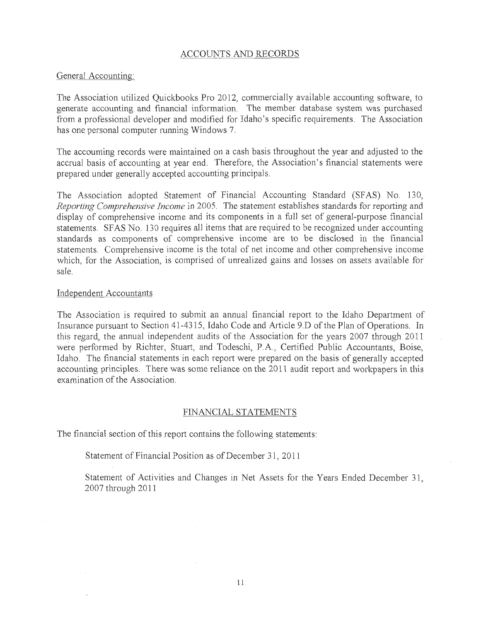#### ACCOUNTS AND RECORDS

#### General Accounting:

The Association utilized Quickbooks Pro 2012, commercially available accounting software, to generate accounting and financial information. The member database system was purchased from a professional developer and modified for Idaho's specific requirements. The Association has one personal computer running Windows 7.

The accounting records were maintained on a cash basis throughout the year and adjusted to the accrual basis of accounting at year end. Therefore, the Association's financial statements were prepared under generally accepted accounting principals.

The Association adopted Statement of Financial Accounting Standard (SFAS) No. 130, *Reporting Comprehensive income* in 2005. The statement establishes standards for reporting and display of comprehensive income and its components in a fhll set of general-purpose financial statements. SFAS No. 130 requires all items that are required to be recognized under accounting standards as components of comprehensive income are to be disclosed in the financial statements. Comprehensive income is the total of net income and other comprehensive income which, for the Association, is comprised of unrealized gains and losses on assets available for sale.

#### Independent Accountants

The Association is required to submit an annual financial report to the Idaho Department of Insurance pursuant to Section 41-4315, Idaho Code and Article 9.D of the Plan of Operations. In this regard, the annual independent audits of the Association for the years 2007 through 2011 were performed by Richter, Stuart, and Todeschi, P.A, Certified Public Accountants, Boise, Idaho. The financial statements in each report were prepared on the basis of generally accepted accounting principles. There was some reliance on the 2011 audit report and workpapers in this examination of the Association.

#### FINANCIAL STATEMENTS

The financial section of this report contains the following statements:

Statement of Financial Position as of December 31, 2011

Statement of Activities and Changes in Net Assets for the Years Ended December 31, 2007 through 2011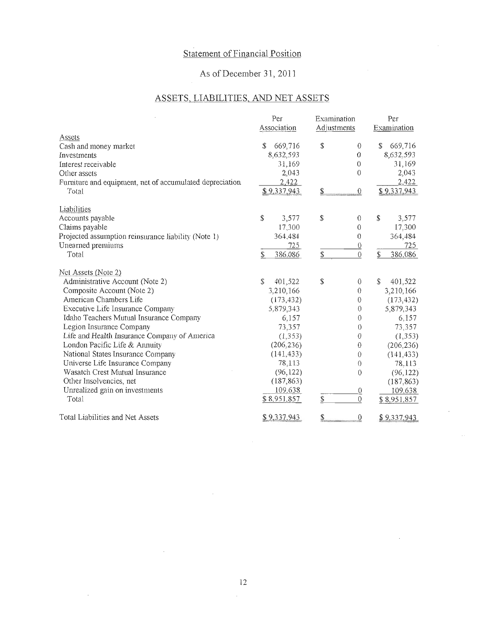### Statement of Financial Position

### As of December 31,2011

### ASSETS, LIABILITIES, AND NET ASSETS

|                                                          | Per           | Examination              | Per                  |
|----------------------------------------------------------|---------------|--------------------------|----------------------|
|                                                          | Association   | Adjustments              | Examination          |
| Assets                                                   |               |                          |                      |
| Cash and money market                                    | 669,716<br>S  | \$<br>$\theta$           | 669,716<br>\$        |
| Investments                                              | 8,632,593     | 0                        | 8,632.593            |
| Interest receivable                                      | 31,169        | $\theta$                 | 31,169               |
| Other assets                                             | 2,043         | $\theta$                 | 2,043                |
| Furniture and equipment, net of accumulated depreciation | 2,422         |                          | 2,422                |
| Total                                                    | \$9.337,943   | \$<br>$\theta$           | \$9,337.943          |
| Liabilities                                              |               |                          |                      |
| Accounts payable                                         | \$<br>3,577   | \$<br>$\theta$           | $\mathbb S$<br>3,577 |
| Claims payable                                           | 17,300        | $\theta$                 | 17,300               |
| Projected assumption reinsurance liability (Note 1)      | 364,484       | $\theta$                 | 364,484              |
| Unearned premiums                                        | 725           | $\overline{0}$           | 725                  |
| Total                                                    | \$<br>386,086 | \$<br>$\mathbf{0}$       | \$<br>386,086        |
| Net Assets (Note 2)                                      |               |                          |                      |
| Administrative Account (Note 2)                          | S<br>401,522  | $\mathbb{S}$<br>$\theta$ | \$<br>401,522        |
| Composite Account (Note 2)                               | 3,210,166     | $\theta$                 | 3,210,166            |
| American Chambers Life                                   | (173, 432)    | 0                        | (173, 432)           |
| Executive Life Insurance Company                         | 5.879,343     | $\theta$                 | 5,879,343            |
| Idaho Teachers Mutual Insurance Company                  | 6,157         | $\theta$                 | 6,157                |
| Legion Insurance Company                                 | 73,357        | $\theta$                 | 73,357               |
| Life and Health Insurance Company of America             | (1, 353)      | 0                        | (1, 353)             |
| London Pacific Life & Annuity                            | (206, 236)    | $\theta$                 | (206, 236)           |
| National States Insurance Company                        | (141, 433)    | 0                        | (141, 433)           |
| Universe Life Insurance Company                          | 78,113        | $\theta$                 | 78.113               |
| Wasatch Crest Mutual Insurance                           | (96, 122)     | $\mathbf{0}$             | (96, 122)            |
| Other Insolvencies, net                                  | (187, 863)    |                          | (187, 863)           |
| Unrealized gain on investments                           | 109.638       | $\overline{0}$           | 109,638              |
| Total                                                    | \$8,951.857   | $\mathbf{0}$<br>\$       | \$8,951,857          |
| Total Liabilities and Net Assets                         | \$9,337.943   | \$<br>0                  | \$9.337.943          |

 $\overline{\phantom{a}}$ 

 $\sim$ 

 $\hat{\mathcal{E}}$ 

 $\sim$ 

 $\mathcal{L}$ 

 $\bar{\epsilon}$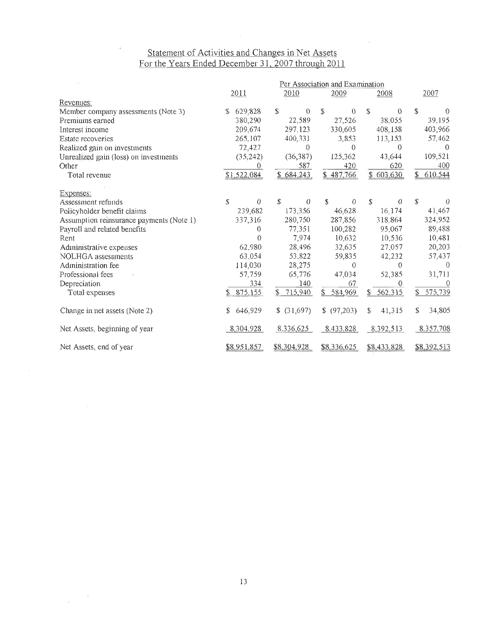### tatement of Activities and Changes in Net Assets For the Years Ended December 31, 2007 through 2011

 $\hat{A}$ 

 $\sim 10^{11}$ 

|                                          |               |                           | Per Association and Examination |                 |                         |
|------------------------------------------|---------------|---------------------------|---------------------------------|-----------------|-------------------------|
|                                          | 2011          | 2010                      | 2009                            | 2008            | 2007                    |
| Revenues:                                |               |                           |                                 |                 |                         |
| Member company assessments (Note 3)      | 629,828<br>S  | \$<br>$\theta$            | \$<br>$\theta$                  | \$<br>$\theta$  | \$<br>$\Omega$          |
| Premiums earned                          | 380,290       | 22,589                    | 27,526                          | 38.055          | 39,195                  |
| Interest income                          | 209,674       | 297.123                   | 330,605                         | 408,158         | 403,966                 |
| Estate recoveries                        | 265,107       | 400,331                   | 3,853                           | 113,153         | 57,462                  |
| Realized gain on investments             | 72,427        | $\theta$                  | $\theta$                        | $\theta$        | $\Omega$                |
| Unrealized gain (loss) on investments    | (35, 242)     | (36, 387)                 | 125,362                         | 43,644          | 109,521                 |
| Other                                    | 0             | 587                       | 420                             | 620             | 400                     |
| Total revenue                            | \$1,522,084   | \$684,243                 | \$487.766                       | 603,630<br>\$   | 610.544<br>$\mathbb{S}$ |
| Expenses:                                |               |                           |                                 |                 |                         |
| Assessment refunds                       | Ö<br>S.       | £.<br>$\theta$            | \$<br>$\theta$                  | \$<br>$\langle$ | \$<br>$\theta$          |
| Policyholder benefit claims              | 239,682       | 173,356                   | 46,628                          | 16.174          | 41,467                  |
| Assumption reinsurance payments (Note 1) | 337,316       | 280,750                   | 287,856                         | 318,864         | 324.952                 |
| Payroll and related benefits             | 0             | 77.351                    | 100,282                         | 95,067          | 89,488                  |
| Rent                                     | 0             | 7,974                     | 10,632                          | 10,536          | 10,481                  |
| Administrative expenses                  | 62,980        | 28,496                    | 32,635                          | 27.057          | 20,203                  |
| NOLHGA assessments                       | 63,054        | 53,822                    | 59,835                          | 42,232          | 57.437                  |
| Administration fee                       | 114.030       | 28,275                    | $\theta$                        | 0               | $\Omega$                |
| Professional fees                        | 57,759        | 65,776                    | 47,034                          | 52,385          | 31,711                  |
| Depreciation                             | 334           | 140                       | 67                              | 0               | $\Omega$                |
| Total expenses                           | 875.155       | 715,940<br>$\mathbb{S}^-$ | 584,969<br>\$                   | 562,315<br>\$   | 575,739<br>\$           |
| Change in net assets (Note 2)            | 646,929<br>\$ | \$ (31,697)               | \$ (97,203)                     | \$<br>41,315    | S.<br>34,805            |
| Net Assets, beginning of year            | 8,304,928     | 8.336,625                 | 8,433,828                       | 8,392,513       | 8.357.708               |
| Net Assets, end of year                  | \$8.951,857   | \$8,304,928               | \$8,336,625                     | \$8,433,828     | \$8,392,513             |

 $\bar{\beta}$ 

 $\label{eq:2.1} \frac{1}{\sqrt{2\pi}}\int_{0}^{\infty}\frac{dx}{\sqrt{2\pi}}\,dx$ 

 $\mathcal{A}^{\mathcal{A}}$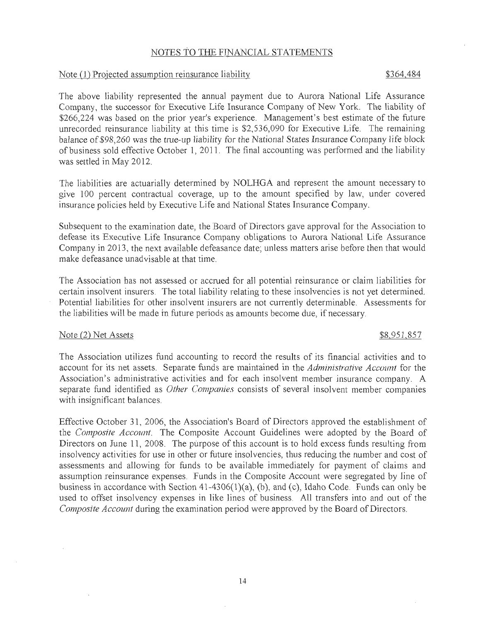#### NOTES *to* THE FINANCIAL STATEMENTS

#### Note (1) Projected assumption reinsurance liability \$364,484

The above liability represented the annual payment due to Aurora National Life Assurance Company, the successor for Executive Life Insurance Company of New York. The liability of \$266,224 was based on the prior year's experience. Management's best estimate of the future unrecorded reinsurance liability at this time is \$2,536,090 for Executive Life. The remaining *balance* of *\$98,260* was *the* true-up liability for the National States Insurance Company *life* block of business sold effective October 1, 2011. The final accounting was performed and the liability was settled in May 2012.

The liabilities are actuarially determined by NOLHGA and represent the amount necessary to give 100 percent contractual coverage, up to the amount specified by law, under covered insurance policies held by Executive Life and National States Insurance Company.

Subsequent to the examination date, the Board of Directors gave approval for the Association to defease its Executive Life Insurance Company obligations to Aurora National Life Assurance Company in 2013, the next available defeasance date; unless matters arise before then that would make defeasance unadvisable at that time.

The Association has not assessed or accrued for all potential reinsurance or claim liabilities for certain insolvent insurers. The total liability relating to these insolvencies is not yet determined. Potential liabilities for other insolvent insurers are not currently determinable. Assessments for the liabilities will be made in future periods as amounts become due, if necessary.

#### Note (2) Net Assets  $$8,951,857$

The Association utilizes fund accounting to record the results of its financial activities and to account for its net assets. Separate funds are maintained in the *Administrative Account* for the Association's administrative activities and for each insolvent member insurance company. A separate fund identified as *Other Companies* consists of several insolvent member companies with insignificant balances.

Effective October 31, 2006, the Association's Board of Directors approved the establishment of the *Composite Account.* The Composite Account Guidelines were adopted by the Board of Directors on June 11, 2008. The purpose of this account is to hold excess funds resulting from insolvency activities for use in other or future insolvencies, thus reducing the number and cost of assessments and allowing for funds to be available immediately for payment of claims and assumption reinsurance expenses. Funds in the Composite Account were segregated by line of business in accordance with Section 41-4306(1)(a), (b), and (c), Idaho Code. Funds can only be used to offset insolvency expenses in like lines of business. All transfers into and out of the *Composite Account* during the examination period were approved by the Board of Directors.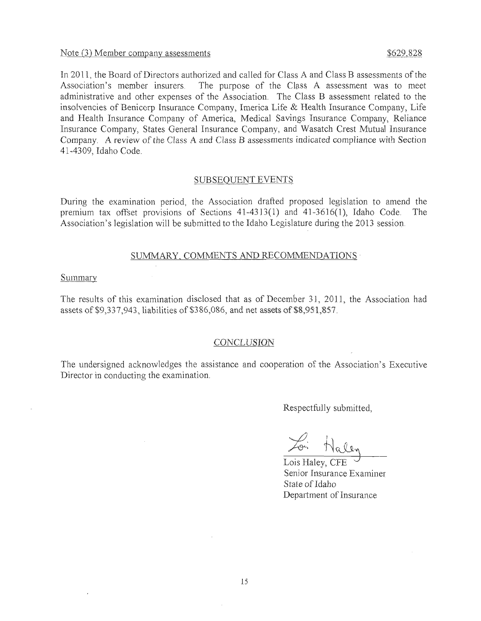#### Note (3) Member company assessments  $$629.828$

In 2011, the Board of Directors authorized and called for Class A and Class B assessments of the Association's member insurers. The purpose of the Class A assessment was to meet administrative and other expenses of the Association. The Class B assessment related to the insolvencies of Benicorp Insurance Company, Imerica Life & Health Insurance Company, Life and Health Insurance Company of America, Medical Savings Insurance Company, Reliance Insurance Company, States General Insurance Company, and Wasatch Crest Mutual Insurance Company. A review of the Class A and Class B assessments indicated compliance with Section 41-4309, Idaho Code.

#### SUBSEQUENT EVENTS

During the examination period, the Association drafted proposed legislation to amend the premium tax offset provisions of Sections 41-4313(1) and 41-3616(1), Idaho Code. The Association's legislation will be submitted to the Idaho Legislature during the 2013 session.

#### SUMMARY, COMMENTS AND RECOMMENDATIONS .

#### Summary

The results of this examination disclosed that as of December 31, 2011, the Association had assets of \$9,337,943, liabilities of \$386,086, and net assets of \$8,951,857.

#### *CONCLUSION*

The undersigned acknowledges the assistance and cooperation of the Association's Executive Director in conducting the examination.

Respectfully submitted,

*....J)*  Loi Hale

Lois Haley, CFE Senior Insurance Examiner State of Idaho Department of Insurance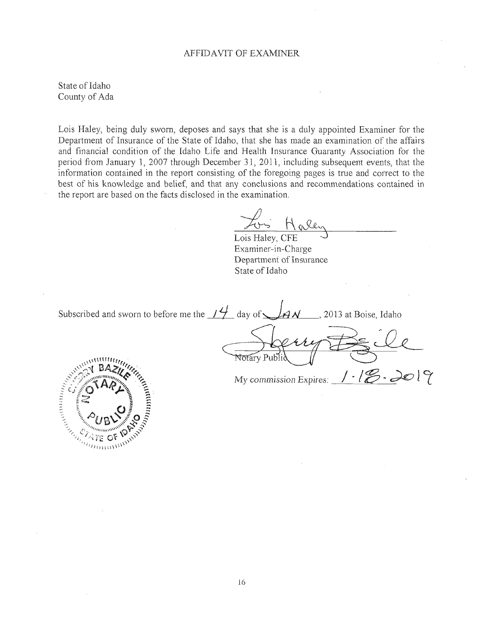#### AFFIDAVIT OF EXAMINER

State of Idaho County of Ada

Lois Haley, being duly sworn, deposes and says that she is a duly appointed Examiner for the Department of Insurance of the State of Idaho, that she has made an examination of the affairs and financial condition of the Idaho Life and Health Insurance Guaranty Association for the period from January 1, 2007 through December 31, 2011, including subsequent events, that the information contained in the report consisting of the foregoing pages is true and correct to the best of his knowledge and belief, and that any conclusions and recommendations contained in the report are based on the facts disclosed in the examination.

Lois Haley, CFE Examiner -in-Charge Department of Insurance State of Idaho

Subscribed and sworn to before me the  $\frac{14}{1}$  day of  $\frac{14}{1}$  , 2013 at Boise, Idaho Henry BEile *l\1y commission Expires:* I· **1<[2-** *do* ! L